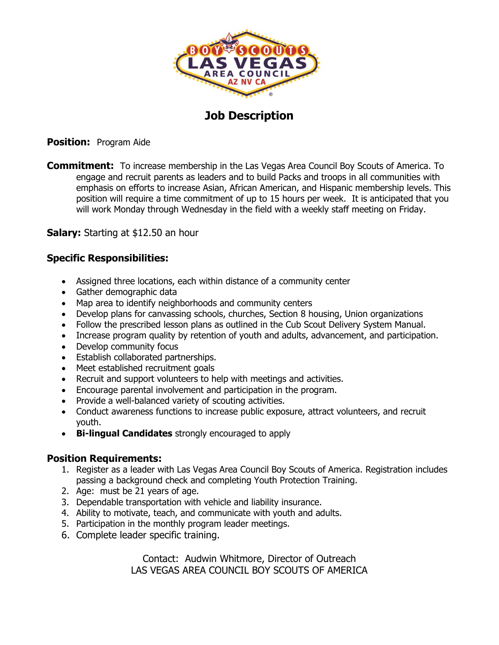

## **Job Description**

**Position:** Program Aide

**Commitment:** To increase membership in the Las Vegas Area Council Boy Scouts of America. To engage and recruit parents as leaders and to build Packs and troops in all communities with emphasis on efforts to increase Asian, African American, and Hispanic membership levels. This position will require a time commitment of up to 15 hours per week. It is anticipated that you will work Monday through Wednesday in the field with a weekly staff meeting on Friday.

**Salary:** Starting at \$12.50 an hour

## **Specific Responsibilities:**

- Assigned three locations, each within distance of a community center
- Gather demographic data
- Map area to identify neighborhoods and community centers
- Develop plans for canvassing schools, churches, Section 8 housing, Union organizations
- Follow the prescribed lesson plans as outlined in the Cub Scout Delivery System Manual.
- Increase program quality by retention of youth and adults, advancement, and participation.
- Develop community focus
- Establish collaborated partnerships.
- Meet established recruitment goals
- Recruit and support volunteers to help with meetings and activities.
- Encourage parental involvement and participation in the program.
- Provide a well-balanced variety of scouting activities.
- Conduct awareness functions to increase public exposure, attract volunteers, and recruit youth.
- **Bi-lingual Candidates** strongly encouraged to apply

## **Position Requirements:**

- 1. Register as a leader with Las Vegas Area Council Boy Scouts of America. Registration includes passing a background check and completing Youth Protection Training.
- 2. Age: must be 21 years of age.
- 3. Dependable transportation with vehicle and liability insurance.
- 4. Ability to motivate, teach, and communicate with youth and adults.
- 5. Participation in the monthly program leader meetings.
- 6. Complete leader specific training.

Contact: Audwin Whitmore, Director of Outreach LAS VEGAS AREA COUNCIL BOY SCOUTS OF AMERICA